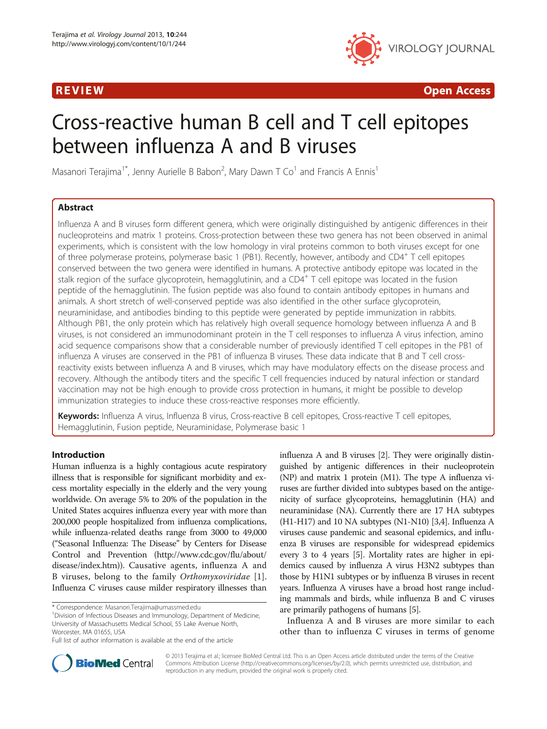

R EVI EW Open Access

# Cross-reactive human B cell and T cell epitopes between influenza A and B viruses

Masanori Terajima<sup>1\*</sup>, Jenny Aurielle B Babon<sup>2</sup>, Mary Dawn T Co<sup>1</sup> and Francis A Ennis<sup>1</sup>

# Abstract

Influenza A and B viruses form different genera, which were originally distinguished by antigenic differences in their nucleoproteins and matrix 1 proteins. Cross-protection between these two genera has not been observed in animal experiments, which is consistent with the low homology in viral proteins common to both viruses except for one of three polymerase proteins, polymerase basic 1 (PB1). Recently, however, antibody and CD4<sup>+</sup> T cell epitopes conserved between the two genera were identified in humans. A protective antibody epitope was located in the stalk region of the surface glycoprotein, hemagglutinin, and a CD4<sup>+</sup> T cell epitope was located in the fusion peptide of the hemagglutinin. The fusion peptide was also found to contain antibody epitopes in humans and animals. A short stretch of well-conserved peptide was also identified in the other surface glycoprotein, neuraminidase, and antibodies binding to this peptide were generated by peptide immunization in rabbits. Although PB1, the only protein which has relatively high overall sequence homology between influenza A and B viruses, is not considered an immunodominant protein in the T cell responses to influenza A virus infection, amino acid sequence comparisons show that a considerable number of previously identified T cell epitopes in the PB1 of influenza A viruses are conserved in the PB1 of influenza B viruses. These data indicate that B and T cell crossreactivity exists between influenza A and B viruses, which may have modulatory effects on the disease process and recovery. Although the antibody titers and the specific T cell frequencies induced by natural infection or standard vaccination may not be high enough to provide cross protection in humans, it might be possible to develop immunization strategies to induce these cross-reactive responses more efficiently.

Keywords: Influenza A virus, Influenza B virus, Cross-reactive B cell epitopes, Cross-reactive T cell epitopes, Hemagglutinin, Fusion peptide, Neuraminidase, Polymerase basic 1

# Introduction

Human influenza is a highly contagious acute respiratory illness that is responsible for significant morbidity and excess mortality especially in the elderly and the very young worldwide. On average 5% to 20% of the population in the United States acquires influenza every year with more than 200,000 people hospitalized from influenza complications, while influenza-related deaths range from 3000 to 49,000 ("Seasonal Influenza: The Disease" by Centers for Disease Control and Prevention ([http://www.cdc.gov/flu/about/](http://www.cdc.gov/flu/about/disease/index.htm) [disease/index.htm\)](http://www.cdc.gov/flu/about/disease/index.htm)). Causative agents, influenza A and B viruses, belong to the family Orthomyxoviridae [[1](#page-7-0)]. Influenza C viruses cause milder respiratory illnesses than

<sup>1</sup> Division of Infectious Diseases and Immunology, Department of Medicine, University of Massachusetts Medical School, 55 Lake Avenue North, Worcester, MA 01655, USA

influenza A and B viruses [[2](#page-7-0)]. They were originally distinguished by antigenic differences in their nucleoprotein (NP) and matrix 1 protein (M1). The type A influenza viruses are further divided into subtypes based on the antigenicity of surface glycoproteins, hemagglutinin (HA) and neuraminidase (NA). Currently there are 17 HA subtypes (H1-H17) and 10 NA subtypes (N1-N10) [\[3,4\]](#page-7-0). Influenza A viruses cause pandemic and seasonal epidemics, and influenza B viruses are responsible for widespread epidemics every 3 to 4 years [\[5](#page-7-0)]. Mortality rates are higher in epidemics caused by influenza A virus H3N2 subtypes than those by H1N1 subtypes or by influenza B viruses in recent years. Influenza A viruses have a broad host range including mammals and birds, while influenza B and C viruses are primarily pathogens of humans [\[5](#page-7-0)].

Influenza A and B viruses are more similar to each other than to influenza C viruses in terms of genome



© 2013 Terajima et al.; licensee BioMed Central Ltd. This is an Open Access article distributed under the terms of the Creative Commons Attribution License [\(http://creativecommons.org/licenses/by/2.0\)](http://creativecommons.org/licenses/by/2.0), which permits unrestricted use, distribution, and reproduction in any medium, provided the original work is properly cited.

<sup>\*</sup> Correspondence: [Masanori.Terajima@umassmed.edu](mailto:Masanori.Terajima@umassmed.edu) <sup>1</sup>

Full list of author information is available at the end of the article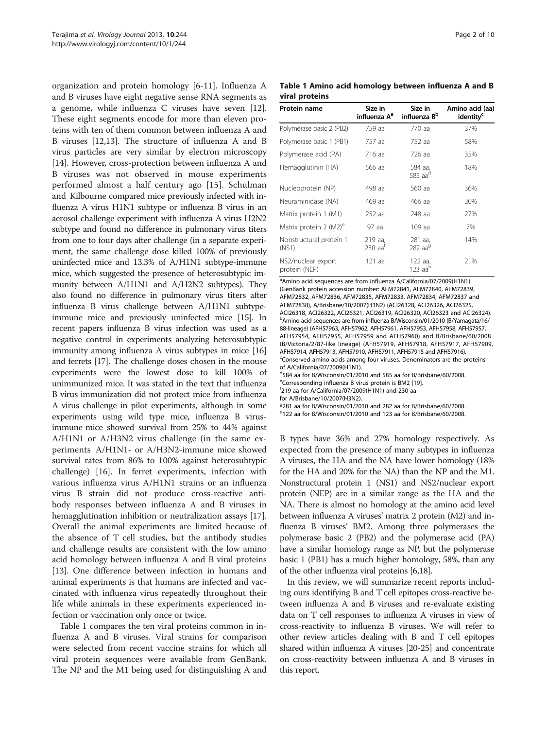<span id="page-1-0"></span>organization and protein homology [\[6](#page-7-0)-[11](#page-7-0)]. Influenza A and B viruses have eight negative sense RNA segments as a genome, while influenza C viruses have seven [\[12](#page-7-0)]. These eight segments encode for more than eleven proteins with ten of them common between influenza A and B viruses [\[12,13](#page-7-0)]. The structure of influenza A and B virus particles are very similar by electron microscopy [[14\]](#page-7-0). However, cross-protection between influenza A and B viruses was not observed in mouse experiments performed almost a half century ago [[15](#page-7-0)]. Schulman and Kilbourne compared mice previously infected with influenza A virus H1N1 subtype or influenza B virus in an aerosol challenge experiment with influenza A virus H2N2 subtype and found no difference in pulmonary virus titers from one to four days after challenge (in a separate experiment, the same challenge dose killed 100% of previously uninfected mice and 13.3% of A/H1N1 subtype-immune mice, which suggested the presence of heterosubtypic immunity between A/H1N1 and A/H2N2 subtypes). They also found no difference in pulmonary virus titers after influenza B virus challenge between A/H1N1 subtypeimmune mice and previously uninfected mice [[15](#page-7-0)]. In recent papers influenza B virus infection was used as a negative control in experiments analyzing heterosubtypic immunity among influenza A virus subtypes in mice [\[16](#page-7-0)] and ferrets [[17](#page-7-0)]. The challenge doses chosen in the mouse experiments were the lowest dose to kill 100% of unimmunized mice. It was stated in the text that influenza B virus immunization did not protect mice from influenza A virus challenge in pilot experiments, although in some experiments using wild type mice, influenza B virusimmune mice showed survival from 25% to 44% against A/H1N1 or A/H3N2 virus challenge (in the same experiments A/H1N1- or A/H3N2-immune mice showed survival rates from 86% to 100% against heterosubtypic challenge) [\[16](#page-7-0)]. In ferret experiments, infection with various influenza virus A/H1N1 strains or an influenza virus B strain did not produce cross-reactive antibody responses between influenza A and B viruses in hemagglutination inhibition or neutralization assays [\[17](#page-7-0)]. Overall the animal experiments are limited because of the absence of T cell studies, but the antibody studies and challenge results are consistent with the low amino acid homology between influenza A and B viral proteins [[13\]](#page-7-0). One difference between infection in humans and animal experiments is that humans are infected and vaccinated with influenza virus repeatedly throughout their life while animals in these experiments experienced infection or vaccination only once or twice.

Table 1 compares the ten viral proteins common in influenza A and B viruses. Viral strains for comparison were selected from recent vaccine strains for which all viral protein sequences were available from GenBank. The NP and the M1 being used for distinguishing A and

|                |  | Table 1 Amino acid homology between influenza A and B |  |  |
|----------------|--|-------------------------------------------------------|--|--|
| viral proteins |  |                                                       |  |  |

| Protein name                        | Size in<br>influenza A <sup>a</sup> | Size in<br>influenza B <sup>b</sup> | Amino acid (aa)<br>identity <sup>c</sup> |
|-------------------------------------|-------------------------------------|-------------------------------------|------------------------------------------|
| Polymerase basic 2 (PB2)            | 759 aa                              | 770 aa                              | 37%                                      |
| Polymerase basic 1 (PB1)            | 757 aa                              | 752 aa                              | 58%                                      |
| Polymerase acid (PA)                | 716 aa                              | 726 aa                              | 35%                                      |
| Hemagglutinin (HA)                  | 566 aa                              | 584 аа,<br>585 $aad$                | 18%                                      |
| Nucleoprotein (NP)                  | 498 aa                              | 560 aa                              | 36%                                      |
| Neuraminidase (NA)                  | 469 aa                              | 466 aa                              | 20%                                      |
| Matrix protein 1 (M1)               | 252 aa                              | 248 aa                              | 27%                                      |
| Matrix protein 2 (M2) <sup>e</sup>  | 97 aa                               | 109 aa                              | 7%                                       |
| Nonstructural protein 1<br>(NS1)    | 219 aa,<br>230 aa'                  | 281 aa,<br>282 aa $9$               | 14%                                      |
| NS2/nuclear export<br>protein (NEP) | 121 aa                              | 122 aa,<br>123 aa $^{\rm h}$        | 21%                                      |

<sup>a</sup> Amino acid sequences are from influenza A/California/07/2009(H1N1) (GenBank protein accession number: AFM72841, AFM72840, AFM72839, AFM72832, AFM72836, AFM72835, AFM72833, AFM72834, AFM72837 and AFM72838), A/Brisbane/10/2007(H3N2) (ACI26328, ACI26326, ACI26325, ACI26318, ACI26322, ACI26321, ACI26319, ACI26320, ACI26323 and ACI26324). <sup>b</sup>Amino acid sequences are from influenza B/Wisconsin/01/2010 (B/Yamagata/16/ 88-lineage) (AFH57963, AFH57962, AFH57961, AFH57953, AFH57958, AFH57957, AFH57954, AFH57955, AFH57959 and AFH57960) and B/Brisbane/60/2008 (B/Victoria/2/87-like lineage) (AFH57919, AFH57918, AFH57917, AFH57909, AFH57914, AFH57913, AFH57910, AFH57911, AFH57915 and AFH57916). <sup>c</sup>Conserved amino acids among four viruses. Denominators are the proteins of A/California/07/2009(H1N1).

d 584 aa for B/Wisconsin/01/2010 and 585 aa for B/Brisbane/60/2008.

eCorresponding influenza B virus protein is BM2 [\[19\]](#page-7-0).

 $1219$  aa for A/California/07/2009(H1N1) and 230 aa

for A/Brisbane/10/2007(H3N2).

g 281 aa for B/Wisconsin/01/2010 and 282 aa for B/Brisbane/60/2008.

h 122 aa for B/Wisconsin/01/2010 and 123 aa for B/Brisbane/60/2008.

B types have 36% and 27% homology respectively. As expected from the presence of many subtypes in influenza A viruses, the HA and the NA have lower homology (18% for the HA and 20% for the NA) than the NP and the M1. Nonstructural protein 1 (NS1) and NS2/nuclear export protein (NEP) are in a similar range as the HA and the NA. There is almost no homology at the amino acid level between influenza A viruses' matrix 2 protein (M2) and influenza B viruses' BM2. Among three polymerases the polymerase basic 2 (PB2) and the polymerase acid (PA) have a similar homology range as NP, but the polymerase basic 1 (PB1) has a much higher homology, 58%, than any of the other influenza viral proteins [[6,18\]](#page-7-0).

In this review, we will summarize recent reports including ours identifying B and T cell epitopes cross-reactive between influenza A and B viruses and re-evaluate existing data on T cell responses to influenza A viruses in view of cross-reactivity to influenza B viruses. We will refer to other review articles dealing with B and T cell epitopes shared within influenza A viruses [\[20](#page-7-0)[-25\]](#page-8-0) and concentrate on cross-reactivity between influenza A and B viruses in this report.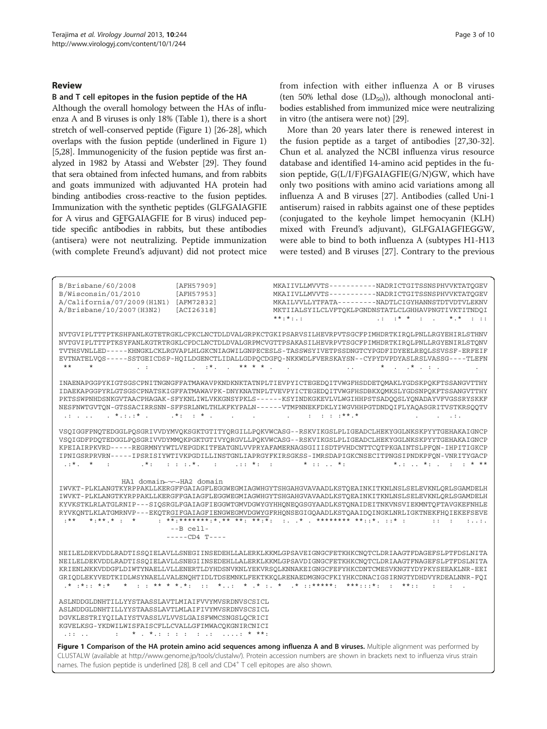### Review

# B and T cell epitopes in the fusion peptide of the HA

Although the overall homology between the HAs of influenza A and B viruses is only 18% (Table [1\)](#page-1-0), there is a short stretch of well-conserved peptide (Figure 1) [\[26-28\]](#page-8-0), which overlaps with the fusion peptide (underlined in Figure 1) [[5](#page-7-0)[,28\]](#page-8-0). Immunogenicity of the fusion peptide was first analyzed in 1982 by Atassi and Webster [[29](#page-8-0)]. They found that sera obtained from infected humans, and from rabbits and goats immunized with adjuvanted HA protein had binding antibodies cross-reactive to the fusion peptides. Immunization with the synthetic peptides (GLFGAIAGFIE for A virus and GFFGAIAGFIE for B virus) induced peptide specific antibodies in rabbits, but these antibodies (antisera) were not neutralizing. Peptide immunization (with complete Freund's adjuvant) did not protect mice from infection with either influenza A or B viruses (ten 50% lethal dose  $(LD_{50})$ ), although monoclonal antibodies established from immunized mice were neutralizing in vitro (the antisera were not) [[29](#page-8-0)].

More than 20 years later there is renewed interest in the fusion peptide as a target of antibodies [\[27,30-32](#page-8-0)]. Chun et al. analyzed the NCBI influenza virus resource database and identified 14-amino acid peptides in the fusion peptide, G(L/I/F)FGAIAGFIE(G/N)GW, which have only two positions with amino acid variations among all influenza A and B viruses [[27](#page-8-0)]. Antibodies (called Uni-1 antiserum) raised in rabbits against one of these peptides (conjugated to the keyhole limpet hemocyanin (KLH) mixed with Freund's adjuvant), GLFGAIAGFIEGGW, were able to bind to both influenza A (subtypes H1-H13 were tested) and B viruses [[27\]](#page-8-0). Contrary to the previous

| B/Brisbane/60/2008<br>B/Wisconsin/01/2010<br>A/California/07/2009(H1N1)<br>A/Brisbane/10/2007(H3N2)                                                                                                                                                                             | [AFH57909]<br>[AFH57953]<br>[AFM72832]<br>[ACI26318]                                                                                                                                                                                                                                                      | $***.*$                                               | MKAIIVLLMVVTS-----------NADRICTGITSSNSPHVVKTATOGEV<br>MKAIIVLLMVVTS-----------NADRICTGITSSNSPHVVKTATOGEV<br>MKAILVVLLYTFATA---------NADTLCIGYHANNSTDTVDTVLEKNV<br>MKTIIALSYILCLVFTOKLPGNDNSTATLCLGHHAVPNGTIVKTITNDOI<br>$\cdot : \cdot : \star * : \cdot : \cdot$<br>$*$ , $*$ $*$ $*$ $*$ $*$                                                                                                                                                                                         |
|---------------------------------------------------------------------------------------------------------------------------------------------------------------------------------------------------------------------------------------------------------------------------------|-----------------------------------------------------------------------------------------------------------------------------------------------------------------------------------------------------------------------------------------------------------------------------------------------------------|-------------------------------------------------------|----------------------------------------------------------------------------------------------------------------------------------------------------------------------------------------------------------------------------------------------------------------------------------------------------------------------------------------------------------------------------------------------------------------------------------------------------------------------------------------|
| $\star\star$<br>$\star$<br>$\mathbb{Z}^n \times \mathbb{Z}^n$                                                                                                                                                                                                                   |                                                                                                                                                                                                                                                                                                           | $\sim$ 10<br>$\ddot{\phantom{a}}$                     | NVTGVIPLTTTPTKSHFANLKGTETRGKLCPKCLNCTDLDVALGRPKCTGKIPSARVSILHEVRPVTSGCFPIMHDRTKIROLPNLLRGYEHIRLSTHNV<br>NVTGVIPLTTTPTKSYFANLKGTRTRGKLCPDCLNCTDLDVALGRPMCVGTTPSAKASILHEVRPVTSGCFPIMHDRTKIROLPNLLRGYENIRLSTONV<br>TVTHSVNLLED-----KHNGKLCKLRGVAPLHLGKCNIAGWILGNPECESLS-TASSWSYIVETPSSDNGTCYPGDFIDYEELREOLSSVSSF-ERFEIF<br>EVTNATELVQS-----SSTGEICDSP-HQILDGENCTLIDALLGDPQCDGFQ-NKKWDLFVERSKAYSN--CYPYDVPDYASLRSLVASSG----TLEFN<br>$*$ $*$ $*$ $*$ $*$                                    |
|                                                                                                                                                                                                                                                                                 |                                                                                                                                                                                                                                                                                                           |                                                       |                                                                                                                                                                                                                                                                                                                                                                                                                                                                                        |
|                                                                                                                                                                                                                                                                                 | $\cdot$ *: $\cdot$ * $\cdot$<br>and the contract of the con-                                                                                                                                                                                                                                              | $\cdots$ $\cdots$ $\cdots$ $\cdots$ $\cdots$ $\cdots$ | INAENAPGGPYKIGTSGSCPNITNGNGFFATMAWAVPKNDKNKTATNPLTIEVPYICTEGEDOITVWGFHSDDETOMAKLYGDSKPOKFTSSANGVTTHY<br>IDAEKAPGGPYRLGTSGSCPNATSKIGFFATMAWAVPK-DNYKNATNPLTVEVPYICTEGEDQITVWGFHSDBKXQMKSLYGDSNPQKFTSSANGVTTHY<br>PKTSSWPNHDSNKGVTAACPHAGAK-SFYKNLIWLVKKGNSYPKLS------KSYINDKGKEVLVLWGIHHPSTSADOOSLYONADAYVFVGSSRYSKKF<br>NESFNWTGVTQN-GTSSACIRRSNN-SFFSRLNWLTHLKFKYPALN------VTMPNNEKFDKLYIWGVHHPGTDNDQIFLYAQASGRITVSTKRSQQTV<br>$\mathbf{L} = \mathbf{L} \mathbf{L}$                   |
| $. :$ * . * .<br>$. * :$                                                                                                                                                                                                                                                        | $\cdots$ : : : $\star$ .<br><b>Contractor</b><br>$22.2 + 24.2 + 24.2 + 24.2$                                                                                                                                                                                                                              | $*$ :: $*$ :                                          | VSQIGGFPNQTEDGGLPQSGRIVVDYMVQKSGKTGTITYQRGILLPQKVWCASG--RSKVIKGSLPLIGEADCLHEKYGGLNKSKPYYTGEHAKAIGNCP<br>VSOIGDFPDOTEDGGLPOSGRIVVDYMMOKPGKTGTIVYORGVLLPOKVWCASG--RSKVIKGSLPLIGEADCLHEKYGGLNKSKPYYTGEHAKAIGNCP<br>KPEIAIRPKVRD-----REGRMNYYWTLVEPGDKITFEATGNLVVPRYAFAMERNAGSGIIISDTPVHDCNTTCOTPKGAINTSLPFON-IHPITIGKCP<br>IPNIGSRPRVRN-----IPSRISIYWTIVKPGDILLINSTGNLIAPRGYFKIRSGKSS-IMRSDAPIGKCNSECITPNGSIPNDKPFON-VNRITYGACP<br>$*$ .: $*$ :  : * **                                   |
| HA1 domain←¬←→HA2 domain<br>$.***$<br>$\star \cdot \star \star \cdot \star \cdot \cdot \star$                                                                                                                                                                                   |                                                                                                                                                                                                                                                                                                           |                                                       | IWVKT-PLKLANGTKYRPPAKLLKERGFFGAIAGFLEGGWEGMIAGWHGYTSHGAHGVAVAADLKSTOEAINKITKNLNSLSELEVKNLORLSGAMDELH<br>IWVKT-PLKLANGTKYRPPAKLLKERGFFGAIAGFLEGGWEGMIAGWHGYTSHGAHGVAVAADLKSTOEAINKITKNLNSLSELEVKNLORLSGAMDELH<br>KYVKSTKLRLATGLRNIP---SIOSRGLFGAIAGFIEGGWTGMVDGWYGYHHONEOGSGYAADLKSTONAIDEITNKVNSVIEKMNTOFTAVGKEFNHLE<br>RYVKONTLKLATGMRNVP---EKOTRGIFGAIAGFIENGWEGMVDGWYGFRHONSEGIGOAADLKSTOAAIDOINGKLNRLIGKTNEKFHOIEKEFSEVE<br>$\mathbf{r}$ $\mathbf{r}$ $\mathbf{r}$<br>$\mathbf{t}$ |
|                                                                                                                                                                                                                                                                                 | $-$ -B cell-                                                                                                                                                                                                                                                                                              |                                                       |                                                                                                                                                                                                                                                                                                                                                                                                                                                                                        |
|                                                                                                                                                                                                                                                                                 | $---CDA$ T----                                                                                                                                                                                                                                                                                            |                                                       |                                                                                                                                                                                                                                                                                                                                                                                                                                                                                        |
| $.*$ : * : : * : *                                                                                                                                                                                                                                                              |                                                                                                                                                                                                                                                                                                           |                                                       | NEILELDEKVDDLRADTISSQIELAVLLSNEGIINSEDEHLLALERKLKKMLGPSAVEIGNGCFETKHKCNOTCLDRIAAGTFDAGEFSLPTFDSLNITA<br>NEILELDEKVDDLRADTISSQIELAVLLSNEGIINSEDEHLLALERKLKKMLGPSAVDIGNGCFETKHKCNQTCLDRIAAGTFNAGEFSLPTFDSLNITA<br>KRIENLNKKVDDGFLDIWTYNAELLVLLENERTLDYHDSNVKNLYEKVRSOLKNNAKEIGNGCFEFYHKCDNTCMESVKNGTYDYPKYSEEAKLNR-EEI<br>GRIODLEKYVEDTKIDLWSYNAELLVALENOHTIDLTDSEMNKLFEKTKKOLRENAEDMGNGCFKIYHKCDNACIGSIRNGTYDHDVYRDEALNNR-FOI<br>$\mathbf{r}$<br>$\mathbf{r}$                           |
| ASLNDDGLDNHTILLYYSTAASSLAVTLMIAIFVVYMVSRDNVSCSICL<br>ASLNDDGLDNHTILLYYSTAASSLAVTLMLAIFIVYMVSRDNVSCSICL<br>DGVKLESTRIYOILAIYSTVASSLVLVVSLGAISFWMCSNGSLOCRICI<br>KGVELKSG-YKDWILWISFAISCFLLCVALLGFIMWACOKGNIRCNICI<br>and the analysis                                            | $\frac{1}{2}$ : $\frac{1}{2}$ , $\frac{1}{2}$ , $\frac{1}{2}$ , $\frac{1}{2}$ , $\frac{1}{2}$ , $\frac{1}{2}$ , $\frac{1}{2}$ , $\frac{1}{2}$ , $\frac{1}{2}$ , $\frac{1}{2}$ , $\frac{1}{2}$ , $\frac{1}{2}$ , $\frac{1}{2}$ , $\frac{1}{2}$ , $\frac{1}{2}$ , $\frac{1}{2}$ , $\frac{1}{2}$ , $\frac{1$ |                                                       |                                                                                                                                                                                                                                                                                                                                                                                                                                                                                        |
|                                                                                                                                                                                                                                                                                 |                                                                                                                                                                                                                                                                                                           |                                                       |                                                                                                                                                                                                                                                                                                                                                                                                                                                                                        |
| Figure 1 Comparison of the HA protein amino acid sequences among influenza A and B viruses. Multiple alignment was performed by<br>CLUSTALW (available at http://www.genome.jp/tools/clustalw/). Protein accession numbers are shown in brackets next to influenza virus strain |                                                                                                                                                                                                                                                                                                           |                                                       |                                                                                                                                                                                                                                                                                                                                                                                                                                                                                        |

names. The fusion peptide is underlined [\[28\]](#page-8-0). B cell and CD4<sup>+</sup> T cell epitopes are also shown.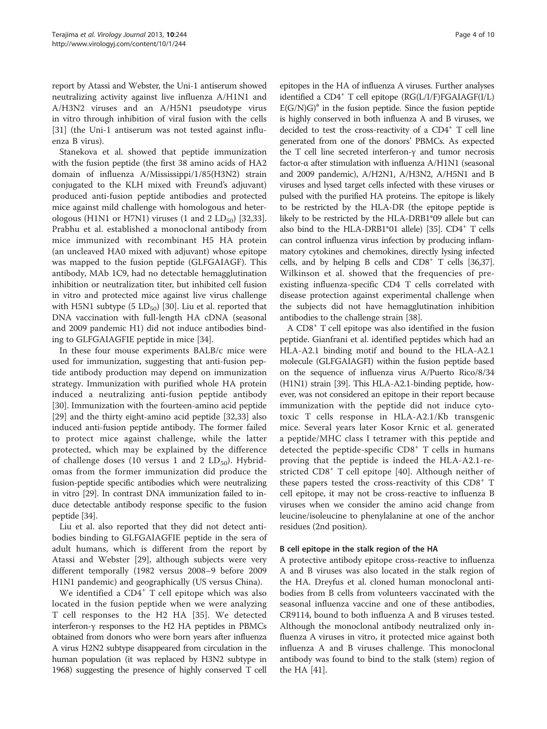report by Atassi and Webster, the Uni-1 antiserum showed neutralizing activity against live influenza A/H1N1 and A/H3N2 viruses and an A/H5N1 pseudotype virus in vitro through inhibition of viral fusion with the cells [[31\]](#page-8-0) (the Uni-1 antiserum was not tested against influenza B virus).

Stanekova et al. showed that peptide immunization with the fusion peptide (the first 38 amino acids of HA2 domain of influenza A/Mississippi/1/85(H3N2) strain conjugated to the KLH mixed with Freund's adjuvant) produced anti-fusion peptide antibodies and protected mice against mild challenge with homologous and heterologous (H1N1 or H7N1) viruses (1 and 2  $LD_{50}$ ) [\[32,33](#page-8-0)]. Prabhu et al. established a monoclonal antibody from mice immunized with recombinant H5 HA protein (an uncleaved HA0 mixed with adjuvant) whose epitope was mapped to the fusion peptide (GLFGAIAGF). This antibody, MAb 1C9, had no detectable hemagglutination inhibition or neutralization titer, but inhibited cell fusion in vitro and protected mice against live virus challenge with H5N1 subtype  $(5 \text{ LD}_{50})$  [[30\]](#page-8-0). Liu et al. reported that DNA vaccination with full-length HA cDNA (seasonal and 2009 pandemic H1) did not induce antibodies binding to GLFGAIAGFIE peptide in mice [[34](#page-8-0)].

In these four mouse experiments BALB/c mice were used for immunization, suggesting that anti-fusion peptide antibody production may depend on immunization strategy. Immunization with purified whole HA protein induced a neutralizing anti-fusion peptide antibody [[30\]](#page-8-0). Immunization with the fourteen-amino acid peptide [[29\]](#page-8-0) and the thirty eight-amino acid peptide [\[32,33](#page-8-0)] also induced anti-fusion peptide antibody. The former failed to protect mice against challenge, while the latter protected, which may be explained by the difference of challenge doses (10 versus 1 and 2  $LD_{50}$ ). Hybridomas from the former immunization did produce the fusion-peptide specific antibodies which were neutralizing in vitro [\[29\]](#page-8-0). In contrast DNA immunization failed to induce detectable antibody response specific to the fusion peptide [[34\]](#page-8-0).

Liu et al. also reported that they did not detect antibodies binding to GLFGAIAGFIE peptide in the sera of adult humans, which is different from the report by Atassi and Webster [[29\]](#page-8-0), although subjects were very different temporally (1982 versus 2008–9 before 2009 H1N1 pandemic) and geographically (US versus China).

We identified a CD4<sup>+</sup> T cell epitope which was also located in the fusion peptide when we were analyzing T cell responses to the H2 HA [[35\]](#page-8-0). We detected interferon-γ responses to the H2 HA peptides in PBMCs obtained from donors who were born years after influenza A virus H2N2 subtype disappeared from circulation in the human population (it was replaced by H3N2 subtype in 1968) suggesting the presence of highly conserved T cell

epitopes in the HA of influenza A viruses. Further analyses identified a  $CD4^+$  T cell epitope (RG(L/I/F)FGAIAGF(I/L)  $E(G/N)G$ <sup>a</sup> in the fusion peptide. Since the fusion peptide is highly conserved in both influenza A and B viruses, we decided to test the cross-reactivity of a  $CD4^+$  T cell line generated from one of the donors' PBMCs. As expected the T cell line secreted interferon-γ and tumor necrosis factor-α after stimulation with influenza A/H1N1 (seasonal and 2009 pandemic), A/H2N1, A/H3N2, A/H5N1 and B viruses and lysed target cells infected with these viruses or pulsed with the purified HA proteins. The epitope is likely to be restricted by the HLA-DR (the epitope peptide is likely to be restricted by the HLA-DRB1\*09 allele but can also bind to the HLA-DRB1\*01 allele) [\[35\]](#page-8-0).  $CD4^+$  T cells can control influenza virus infection by producing inflammatory cytokines and chemokines, directly lysing infected cells, and by helping B cells and  $CD8<sup>+</sup>$  T cells [\[36,37](#page-8-0)]. Wilkinson et al. showed that the frequencies of preexisting influenza-specific CD4 T cells correlated with disease protection against experimental challenge when the subjects did not have hemagglutination inhibition antibodies to the challenge strain [[38\]](#page-8-0).

A CD8<sup>+</sup> T cell epitope was also identified in the fusion peptide. Gianfrani et al. identified peptides which had an HLA-A2.1 binding motif and bound to the HLA-A2.1 molecule (GLFGAIAGFI) within the fusion peptide based on the sequence of influenza virus A/Puerto Rico/8/34 (H1N1) strain [[39](#page-8-0)]. This HLA-A2.1-binding peptide, however, was not considered an epitope in their report because immunization with the peptide did not induce cytotoxic T cells response in HLA-A2.1/Kb transgenic mice. Several years later Kosor Krnic et al. generated a peptide/MHC class I tetramer with this peptide and detected the peptide-specific  $CD8<sup>+</sup>$  T cells in humans proving that the peptide is indeed the HLA-A2.1-restricted CD8<sup>+</sup> T cell epitope [[40\]](#page-8-0). Although neither of these papers tested the cross-reactivity of this  $CD8<sup>+</sup>$  T cell epitope, it may not be cross-reactive to influenza B viruses when we consider the amino acid change from leucine/isoleucine to phenylalanine at one of the anchor residues (2nd position).

# B cell epitope in the stalk region of the HA

A protective antibody epitope cross-reactive to influenza A and B viruses was also located in the stalk region of the HA. Dreyfus et al. cloned human monoclonal antibodies from B cells from volunteers vaccinated with the seasonal influenza vaccine and one of these antibodies, CR9114, bound to both influenza A and B viruses tested. Although the monoclonal antibody neutralized only influenza A viruses in vitro, it protected mice against both influenza A and B viruses challenge. This monoclonal antibody was found to bind to the stalk (stem) region of the HA [\[41](#page-8-0)].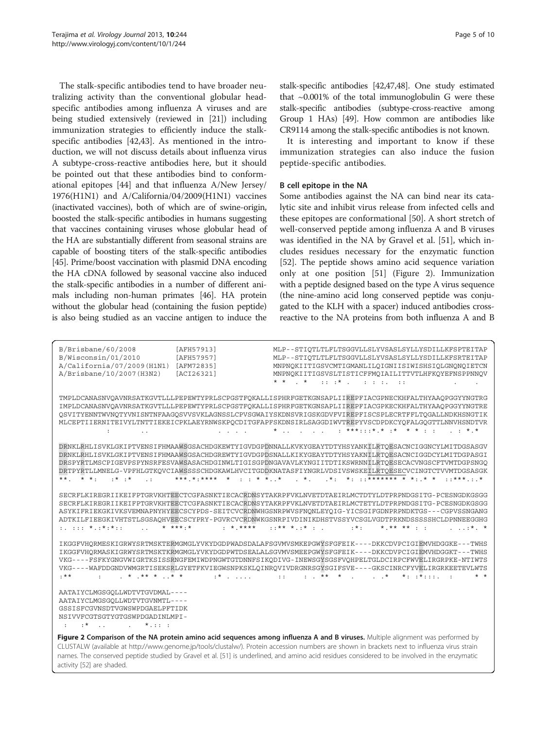activity [\[52](#page-8-0)] are shaded.

The stalk-specific antibodies tend to have broader neutralizing activity than the conventional globular headspecific antibodies among influenza A viruses and are being studied extensively (reviewed in [[21\]](#page-7-0)) including immunization strategies to efficiently induce the stalkspecific antibodies [\[42,43\]](#page-8-0). As mentioned in the introduction, we will not discuss details about influenza virus A subtype-cross-reactive antibodies here, but it should be pointed out that these antibodies bind to conformational epitopes [\[44](#page-8-0)] and that influenza A/New Jersey/ 1976(H1N1) and A/California/04/2009(H1N1) vaccines (inactivated vaccines), both of which are of swine-origin, boosted the stalk-specific antibodies in humans suggesting that vaccines containing viruses whose globular head of the HA are substantially different from seasonal strains are capable of boosting titers of the stalk-specific antibodies [[45](#page-8-0)]. Prime/boost vaccination with plasmid DNA encoding the HA cDNA followed by seasonal vaccine also induced the stalk-specific antibodies in a number of different animals including non-human primates [[46](#page-8-0)]. HA protein without the globular head (containing the fusion peptide) is also being studied as an vaccine antigen to induce the

stalk-specific antibodies [\[42,47,48](#page-8-0)]. One study estimated that  $\sim 0.001\%$  of the total immunoglobulin G were these stalk-specific antibodies (subtype-cross-reactive among Group 1 HAs) [\[49](#page-8-0)]. How common are antibodies like CR9114 among the stalk-specific antibodies is not known.

It is interesting and important to know if these immunization strategies can also induce the fusion peptide-specific antibodies.

# B cell epitope in the NA

Some antibodies against the NA can bind near its catalytic site and inhibit virus release from infected cells and these epitopes are conformational [[50](#page-8-0)]. A short stretch of well-conserved peptide among influenza A and B viruses was identified in the NA by Gravel et al. [[51](#page-8-0)], which includes residues necessary for the enzymatic function [[52\]](#page-8-0). The peptide shows amino acid sequence variation only at one position [\[51\]](#page-8-0) (Figure 2). Immunization with a peptide designed based on the type A virus sequence (the nine-amino acid long conserved peptide was conjugated to the KLH with a spacer) induced antibodies crossreactive to the NA proteins from both influenza A and B

| B/Brisbane/60/2008<br>[AFH57913]<br>B/Wisconsin/01/2010<br>[AFH57957]<br>A/California/07/2009(H1N1)<br>[AFM72835]<br>A/Brisbane/10/2007(H3N2)<br>[ACI26321]                                     | MLP--STIOTLTLFLTSGGVLLSLYVSASLSYLLYSDILLKFSPTEITAP<br>MLP--STIOTLTLFLTSGGVLLSLYVSASLSYLLYSDILLKFSRTEITAP<br>MNPNOKIITIGSVCMTIGMANLILOIGNIISIWISHSIOLGNONOIETCN<br>MNPNOKIITIGSVSLTISTICFFMOIAILITTVTLHFKOYEFNSPPNNOV<br>$\cdot$ *<br>$11.1 + 11.1 + 11.1 + 11.1 + 11.1 + 11.1 + 11.1 + 11.1 + 11.1 + 11.1 + 11.1 + 11.1 + 11.1 + 11.1 + 11.1 + 11.1 + 11.1 + 11.1 + 11.1 + 11.1 + 11.1 + 11.1 + 11.1 + 11.1 + 11.1 + 11.1 + 11.1 + 11.1 + 11.1 + 11.1 + 11.1 + 11.1 + 11.1 + 11.1 + 11.1 + 11.1 + 11.1$                             |
|-------------------------------------------------------------------------------------------------------------------------------------------------------------------------------------------------|-------------------------------------------------------------------------------------------------------------------------------------------------------------------------------------------------------------------------------------------------------------------------------------------------------------------------------------------------------------------------------------------------------------------------------------------------------------------------------------------------------------------------------------|
| $\mathbf{r} = \mathbf{r} + \mathbf{r} + \mathbf{r}$<br>$\pm$<br><b><i>Contractor States</i></b>                                                                                                 | TMPLDCANASNVQAVNRSATKGVTLLLPEPEWTYPRLSCPGSTFQKALLISPHRFGETKGNSAPLIIREPFIACGPNECKHFALTHYAAQPGGYYNGTRG<br>IMPLDCANASNVOAVNRSATKGVTLLLPEPEWTYPRLSCPGSTFOKALLISPHRFGETKGNSAPLIIREPFIACGPKECKHFALTHYAAOPGGYYNGTRE<br>OSVITYENNTWVNOTYVNISNTNFAAGOSVVSVKLAGNSSLCPVSGWAIYSKDNSVRIGSKGDVFVIREPFISCSPLECRTFFLTOGALLNDKHSNGTIK<br>MLCEPTIIERNITEIVYLTNTTIEKEICPKLAEYRNWSKPQCDITGFAPFSKDNSIRLSAGGDIWVTREPYVSCDPDKCYQFALGQGTTLNNVHSNDTVR<br>*  ***:::*.* .* * * *.*                                                                             |
| $***$<br>$**$<br>$*$ $*$ .<br>$\cdot$ :                                                                                                                                                         | DRNKLRHLISVKLGKIPTVENSIFHMAAWSGSACHDGKEWTYIGVDGPDNNALLKVKYGEAYTDTYHSYANKILRTOESACNCIGGNCYLMITDGSASGV<br>DRNKLRHLISVKLGKIPTVENSIFHMAAWSGSACHDGREWTYIGVDGPDSNALLKIKYGEAYTDTYHSYAKNILRTOESACNCIGGDCYLMITDGPASGI<br>DRSPYRTLMSCPIGEVPSPYNSRFESVAWSASACHDGINWLTIGISGPDNGAVAVLKYNGIITDTIKSWRNNILRTOESECACVNGSCFTVMTDGPSNGO<br>DRTPYRTLLMNELG-VPFHLGTKOVCIAWSSSSCHDGKAWLHVCITGDDKNATASFIYNGRLVDSIVSWSKEILRTOESECVCINGTCTVVMTDGSASGK<br>$****$                                                                                              |
| $*$ *** · *<br>$$ * ****<br>$:$<br>$\sim$                                                                                                                                                       | SECRFLKIREGRIIKEIFPTGRVKHTEECTCGFASNKTIECACRDNSYTAKRPFVKLNVETDTAEIRLMCTDTYLDTPRPNDGSITG-PCESNGDKGSGG<br>SECRELKIREGRIIKEIFPTGRVKHTEECTCGFASNKTIECACRDNSYTAKRPFVKLNVETDTAEIRLMCTETYLDTPRPNDGSITG-PCESNGDKGSGG<br>ASYKIFRIEKGKIVKSVEMNAPNYHYEECSCYPDS-SEITCVCRDNWHGSNRPWVSFNONLEYOIG-YICSGIFGDNPRPNDKTGS---CGPVSSNGANG<br>ADTKILFIEEGKIVHTSTLSGSAOHVEECSCYPRY-PGVRCVCRDNWKGSNRPIVDINIKDHSTVSSYVCSGLVGDTPRKNDSSSSSHCLDPNNEEGGHG<br>$: :******$<br>$: * :$<br>$*$ , ** ** $\cdot$ .<br>$$ * *                                           |
| $$ * ** * $$ * *<br>$. * *$<br><b>British</b>                                                                                                                                                   | IKGGFVHORMESKIGRWYSRTMSKTERMGMGLYVKYDGDPWADSDALAFSGVMVSMKEPGWYSFGFEIK----DKKCDVPCIGIEMVHDGGKE---TWHS<br>IKGGFVHORMASKIGRWYSRTMSKTKRMGMGLYVKYDGDPWTDSEALALSGVMVSMEEPGWYSFGFEIK----DKKCDVPCIGIEMVHDGGKT---TWHS<br>VKG----FSFKYGNGVWIGRTKSISSRNGFEMIWDPNGWTGTDNNFSIKODIVG-INEWSGYSGSFVOHPELTGLDCIRPCFWVELIRGRPKE-NTIWTS<br>VKG----WAFDDGNDVWMGRTISEKSRLGYETFKVIEGWSNPKSKLOINROVIVDRGNRSGYSGIFSVE----GKSCINRCFYVELIRGRKEETEVLWTS<br>$\star$ $\star$<br>$\cdot$ $\star \star$ $\star$<br>$\mathbf{r}$ , $\mathbf{r}$<br>$* : + * : : : $ |
| AATAIYCLMGSGOLLWDTVTGVDMAL----<br>AATAIYCLMGSGOLLWDTVTGVNMTL----<br>GSSISFCGVNSDTVGWSWPDGAELPFTIDK<br>NSIVVFCGTSGTYGTGSWPDGADINLMPI-<br>$\mathbf{r}^*$ and $\mathbf{r}$ and $\mathbf{r}$<br>$*$ |                                                                                                                                                                                                                                                                                                                                                                                                                                                                                                                                     |
|                                                                                                                                                                                                 | Figure 2 Comparison of the NA protein amino acid sequences among influenza A and B viruses. Multiple alignment was performed by<br>CLUSTALW (available at http://www.genome.jp/tools/clustalw/). Protein accession numbers are shown in brackets next to influenza virus strain<br>names. The conserved peptide studied by Gravel et al. [51] is underlined, and amino acid residues considered to be involved in the enzymatic                                                                                                     |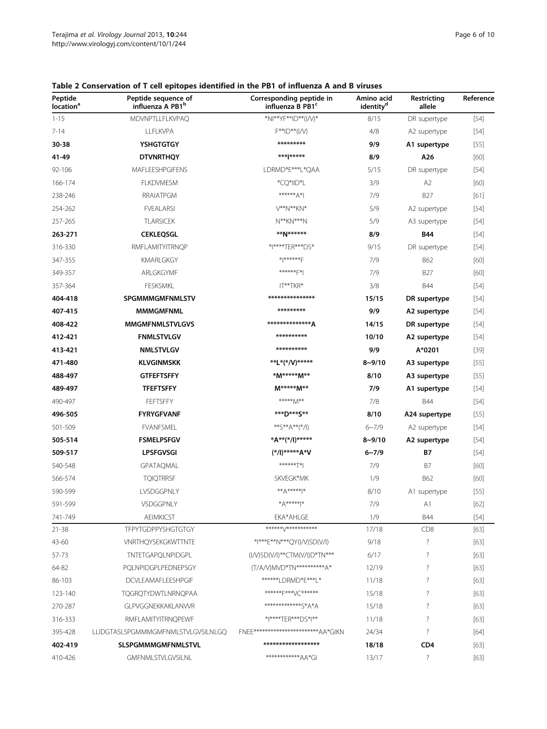| Peptide<br>location <sup>a</sup> | Peptide sequence of<br>influenza A PB1 <sup>b</sup> | Corresponding peptide in<br>influenza B PB1 <sup>c</sup> | Amino acid<br>identity <sup>d</sup> | Restricting<br>allele | Reference |
|----------------------------------|-----------------------------------------------------|----------------------------------------------------------|-------------------------------------|-----------------------|-----------|
| $1 - 15$                         | <b>MDVNPTLLFLKVPAQ</b>                              | *NI**YF**ID**(I/V)*                                      | 8/15                                | DR supertype          | $[54]$    |
| $7 - 14$                         | LLFLKVPA                                            | F**ID**(I/V)                                             | 4/8                                 | A2 supertype          | $[54]$    |
| 30-38                            | <b>YSHGTGTGY</b>                                    | *********                                                | 9/9                                 | A1 supertype          | $[55]$    |
| 41-49                            | <b>DTVNRTHQY</b>                                    | *** *****                                                | 8/9                                 | A26                   | [60]      |
| 92-106                           | MAFLEESHPGIFENS                                     | LDRMD*E***L*QAA                                          | 5/15                                | DR supertype          | $[54]$    |
| 166-174                          | <b>FLKDVMESM</b>                                    | *CQ*IID*L                                                | 3/9                                 | A2                    | [60]      |
| 238-246                          | RRAIATPGM                                           | ******* A*I                                              | 7/9                                 | <b>B27</b>            | $[61]$    |
| 254-262                          | <b>FVEALARSI</b>                                    | V**N**KN*                                                | 5/9                                 | A2 supertype          | $[54]$    |
| 257-265                          | <b>TLARSICEK</b>                                    | $N***$ KN***N                                            | 5/9                                 | A3 supertype          | $[54]$    |
| 263-271                          | <b>CEKLEQSGL</b>                                    | **N******                                                | 8/9                                 | <b>B44</b>            | $[54]$    |
| 316-330                          | <b>RMFLAMITYITRNQP</b>                              | * ****TER***DS*                                          | 9/15                                | DR supertype          | $[54]$    |
| 347-355                          | <b>KMARLGKGY</b>                                    | $*$ $*$ ****** $F$                                       | 7/9                                 | <b>B62</b>            | [60]      |
| 349-357                          | ARLGKGYMF                                           | ******F*                                                 | 7/9                                 | <b>B27</b>            | [60]      |
| 357-364                          | <b>FESKSMKL</b>                                     | IT**TKR*                                                 | 3/8                                 | <b>B44</b>            | $[54]$    |
| 404-418                          | <b>SPGMMMGMFNMLSTV</b>                              | ***************                                          | 15/15                               | DR supertype          | $[54]$    |
| 407-415                          | <b>MMMGMFNML</b>                                    | *********                                                | 9/9                                 | A2 supertype          | $[54]$    |
| 408-422                          | <b>MMGMFNMLSTVLGVS</b>                              | **************A                                          | 14/15                               | DR supertype          | $[54]$    |
| 412-421                          | <b>FNMLSTVLGV</b>                                   | **********                                               | 10/10                               | A2 supertype          | $[54]$    |
| 413-421                          | <b>NMLSTVLGV</b>                                    | **********                                               | 9/9                                 | A*0201                | $[39]$    |
| 471-480                          | <b>KLVGINMSKK</b>                                   | **L*(*/V)*****                                           | $8 - 9/10$                          | A3 supertype          | $[55]$    |
| 488-497                          | <b>GTFEFTSFFY</b>                                   | *M*****M**                                               | 8/10                                | A3 supertype          | $[55]$    |
| 489-497                          | <b>TFEFTSFFY</b>                                    | M*****M**                                                | 7/9                                 | A1 supertype          | $[54]$    |
| 490-497                          | FEFTSFFY                                            | *****M**                                                 | 7/8                                 | <b>B44</b>            | $[54]$    |
| 496-505                          | <b>FYRYGFVANF</b>                                   | ***D***S**                                               | 8/10                                | A24 supertype         | $[55]$    |
| 501-509                          | <b>FVANFSMEL</b>                                    | **S**A**(*/l)                                            | $6 - 7/9$                           | A2 supertype          | $[54]$    |
| 505-514                          | <b>FSMELPSFGV</b>                                   | *A**(*/I)*****                                           | $8 - 9/10$                          | A2 supertype          | $[54]$    |
| 509-517                          | <b>LPSFGVSGI</b>                                    | (*/l)*****A*V                                            | $6 - 7/9$                           | Β7                    | $[54]$    |
| 540-548                          | GPATAQMAL                                           | ******T*                                                 | 7/9                                 | B7                    | [60]      |
| 566-574                          | <b>TQIQTRRSF</b>                                    | SKVEGK*MK                                                | 1/9                                 | <b>B62</b>            | [60]      |
| 590-599                          | LVSDGGPNLY                                          | $**A****$                                                | 8/10                                | A1 supertype          | $[55]$    |
| 591-599                          | VSDGGPNLY                                           | $^{*}A^{*****}$                                          | 7/9                                 | A1                    | [62]      |
| 741-749                          | <b>AEIMKICST</b>                                    | EKA*AHLGE                                                | 1/9                                 | <b>B44</b>            | $[54]$    |
| 21-38                            | <b>TFPYTGDPPYSHGTGTGY</b>                           | ******\/************                                     | 17/18                               | CD8                   | $[63]$    |
| 43-60                            | <b>VNRTHQYSEKGKWTTNTE</b>                           | *I***E**N***QY(I/V)SD(V/I)                               | 9/18                                | $\ddot{?}$            | $[63]$    |
| 57-73                            | TNTETGAPQLNPIDGPL                                   | (I/V)SD(V/I)**CTM(V/I)D*TN***                            | 6/17                                | ?                     | $[63]$    |
| 64-82                            | PQLNPIDGPLPEDNEPSGY                                 | (T/A/V)MVD*TN**********A*                                | 12/19                               | $\overline{\cdot}$    | $[63]$    |
| 86-103                           | DCVLEAMAFLEESHPGIF                                  | ******LDRMD*E***L*                                       | 11/18                               | $\overline{\cdot}$    | $[63]$    |
| 123-140                          | TQGRQTYDWTLNRNQPAA                                  | *******F***VC*******                                     | 15/18                               | ?                     | $[63]$    |
| 270-287                          | GLPVGGNEKKAKLANVVR                                  | *************S*A*A                                       | 15/18                               | ?                     | $[63]$    |
| 316-333                          | RMFLAMITYITRNQPEWF                                  | * ****TER***DS* **                                       | 11/18                               | $\overline{\cdot}$    | $[63]$    |
| 395-428                          | LLIDGTASLSPGMMMGMFNMLSTVLGVSILNLGQ                  | FNFF***********************AA*GIKN                       | 24/34                               | $\overline{?}$        | $[64]$    |
| 402-419                          | <b>SLSPGMMMGMFNMLSTVL</b>                           | ******************                                       | 18/18                               | CD <sub>4</sub>       | $[63]$    |
| 410-426                          | <b>GMFNMLSTVLGVSILNL</b>                            | ************AA*GI                                        | 13/17                               | $\overline{?}$        | $[63]$    |

# <span id="page-5-0"></span>Table 2 Conservation of T cell epitopes identified in the PB1 of influenza A and B viruses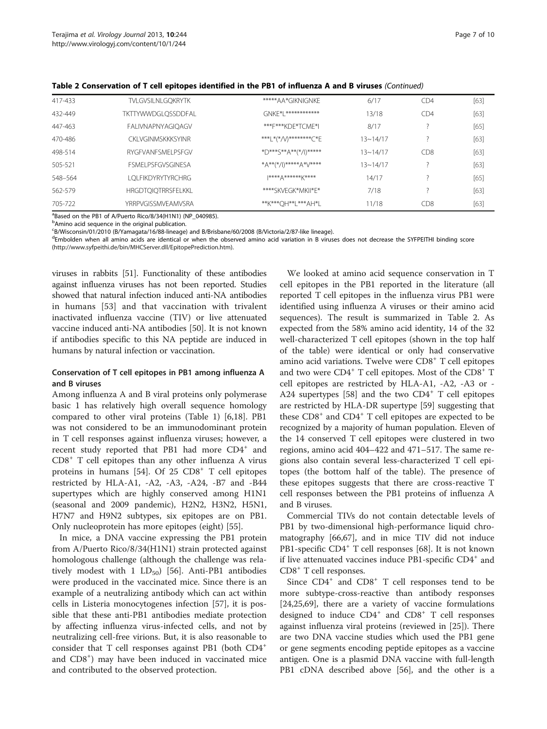| 417-433 | <b>TVLGVSILNLGQKRYTK</b>  | *****AA*GIKNIGNKE     | 6/17         | CD4             | $[63]$ |
|---------|---------------------------|-----------------------|--------------|-----------------|--------|
| 432-449 | TKTTYWWDGLOSSDDFAL        | GNKF*I *************  | 13/18        | CD4             | $[63]$ |
| 447-463 | <b>FALIVNAPNYAGIQAGV</b>  | ***F***KDF*TCMF*I     | 8/17         |                 | $[65]$ |
| 470-486 | CKI VGINMSKKKSYINR        | ***L*(*/V)********C*E | $13 - 14/17$ |                 | $[63]$ |
| 498-514 | RYGEVANESMELPSEGV         | *D***S**A**(*/I)***** | $13 - 14/17$ | CD <sub>8</sub> | $[63]$ |
| 505-521 | <b>FSMELPSEGVSGINESA</b>  | *A**(*/l)*****A*V**** | $13 - 14/17$ |                 | $[63]$ |
| 548-564 | LOLFIKDYRYTYRCHRG         | $1***+A***+*K***$     | 14/17        |                 | $[65]$ |
| 562-579 | <b>HRGDTQIQTRRSFELKKL</b> | ****SKVFGK*MKII*F*    | 7/18         |                 | $[63]$ |
| 705-722 | <b>YRRPVGISSMVFAMVSRA</b> | **K***OH**L***AH*L    | 11/18        | CD <sub>8</sub> | $[63]$ |

Table 2 Conservation of T cell epitopes identified in the PB1 of influenza A and B viruses (Continued)

<sup>a</sup>Based on the PB1 of A/Puerto Rico/8/34(H1N1) (NP\_040985).

<sup>b</sup>Amino acid sequence in the original publication.

c B/Wisconsin/01/2010 (B/Yamagata/16/88-lineage) and B/Brisbane/60/2008 (B/Victoria/2/87-like lineage).

<sup>d</sup>Embolden when all amino acids are identical or when the observed amino acid variation in B viruses does not decrease the SYFPEITHI binding score (<http://www.syfpeithi.de/bin/MHCServer.dll/EpitopePrediction.htm>).

viruses in rabbits [\[51\]](#page-8-0). Functionality of these antibodies against influenza viruses has not been reported. Studies showed that natural infection induced anti-NA antibodies in humans [[53\]](#page-8-0) and that vaccination with trivalent inactivated influenza vaccine (TIV) or live attenuated vaccine induced anti-NA antibodies [\[50](#page-8-0)]. It is not known if antibodies specific to this NA peptide are induced in humans by natural infection or vaccination.

# Conservation of T cell epitopes in PB1 among influenza A and B viruses

Among influenza A and B viral proteins only polymerase basic 1 has relatively high overall sequence homology compared to other viral proteins (Table [1\)](#page-1-0) [\[6](#page-7-0),[18](#page-7-0)]. PB1 was not considered to be an immunodominant protein in T cell responses against influenza viruses; however, a recent study reported that PB1 had more CD4<sup>+</sup> and CD8<sup>+</sup> T cell epitopes than any other influenza A virus proteins in humans [[54](#page-8-0)]. Of  $25$  CD8<sup>+</sup> T cell epitopes restricted by  $HLA-A1$ ,  $-A2$ ,  $-A3$ ,  $-A24$ ,  $-B7$  and  $-B44$ supertypes which are highly conserved among H1N1 (seasonal and 2009 pandemic), H2N2, H3N2, H5N1, H7N7 and H9N2 subtypes, six epitopes are on PB1. Only nucleoprotein has more epitopes (eight) [[55](#page-8-0)].

In mice, a DNA vaccine expressing the PB1 protein from A/Puerto Rico/8/34(H1N1) strain protected against homologous challenge (although the challenge was relatively modest with 1  $LD_{50}$  [[56\]](#page-8-0). Anti-PB1 antibodies were produced in the vaccinated mice. Since there is an example of a neutralizing antibody which can act within cells in Listeria monocytogenes infection [\[57](#page-8-0)], it is possible that these anti-PB1 antibodies mediate protection by affecting influenza virus-infected cells, and not by neutralizing cell-free virions. But, it is also reasonable to consider that T cell responses against PB1 (both CD4<sup>+</sup> and CD8<sup>+</sup>) may have been induced in vaccinated mice and contributed to the observed protection.

We looked at amino acid sequence conservation in T cell epitopes in the PB1 reported in the literature (all reported T cell epitopes in the influenza virus PB1 were identified using influenza A viruses or their amino acid sequences). The result is summarized in Table [2](#page-5-0). As expected from the 58% amino acid identity, 14 of the 32 well-characterized T cell epitopes (shown in the top half of the table) were identical or only had conservative amino acid variations. Twelve were CD8<sup>+</sup> T cell epitopes and two were CD4<sup>+</sup> T cell epitopes. Most of the CD8<sup>+</sup> T cell epitopes are restricted by HLA-A1, -A2, -A3 or - A24 supertypes [\[58](#page-8-0)] and the two  $CD4^+$  T cell epitopes are restricted by HLA-DR supertype [[59\]](#page-8-0) suggesting that these  $CD8<sup>+</sup>$  and  $CD4<sup>+</sup>$  T cell epitopes are expected to be recognized by a majority of human population. Eleven of the 14 conserved T cell epitopes were clustered in two regions, amino acid 404–422 and 471–517. The same regions also contain several less-characterized T cell epitopes (the bottom half of the table). The presence of these epitopes suggests that there are cross-reactive T cell responses between the PB1 proteins of influenza A and B viruses.

Commercial TIVs do not contain detectable levels of PB1 by two-dimensional high-performance liquid chromatography [[66,67\]](#page-9-0), and in mice TIV did not induce PB1-specific CD4<sup>+</sup> T cell responses [\[68](#page-9-0)]. It is not known if live attenuated vaccines induce PB1-specific CD4<sup>+</sup> and CD8<sup>+</sup> T cell responses.

Since  $CD4^+$  and  $CD8^+$  T cell responses tend to be more subtype-cross-reactive than antibody responses [[24,25,](#page-8-0)[69\]](#page-9-0), there are a variety of vaccine formulations designed to induce  $CD4^+$  and  $CD8^+$  T cell responses against influenza viral proteins (reviewed in [[25](#page-8-0)]). There are two DNA vaccine studies which used the PB1 gene or gene segments encoding peptide epitopes as a vaccine antigen. One is a plasmid DNA vaccine with full-length PB1 cDNA described above [[56\]](#page-8-0), and the other is a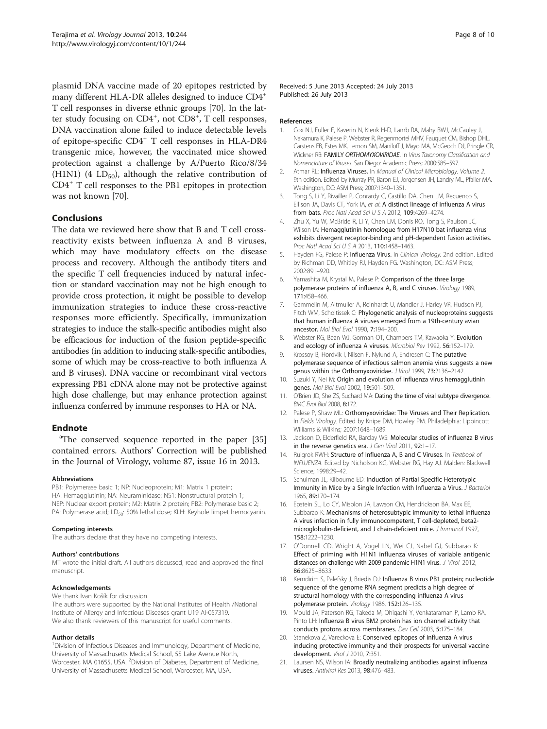<span id="page-7-0"></span>plasmid DNA vaccine made of 20 epitopes restricted by many different HLA-DR alleles designed to induce CD4<sup>+</sup> T cell responses in diverse ethnic groups [[70\]](#page-9-0). In the latter study focusing on CD4<sup>+</sup>, not CD8<sup>+</sup>, T cell responses, DNA vaccination alone failed to induce detectable levels of epitope-specific CD4<sup>+</sup> T cell responses in HLA-DR4 transgenic mice, however, the vaccinated mice showed protection against a challenge by A/Puerto Rico/8/34 (H1N1) (4  $LD_{50}$ ), although the relative contribution of CD4<sup>+</sup> T cell responses to the PB1 epitopes in protection was not known [\[70](#page-9-0)].

# Conclusions

The data we reviewed here show that B and T cell crossreactivity exists between influenza A and B viruses, which may have modulatory effects on the disease process and recovery. Although the antibody titers and the specific T cell frequencies induced by natural infection or standard vaccination may not be high enough to provide cross protection, it might be possible to develop immunization strategies to induce these cross-reactive responses more efficiently. Specifically, immunization strategies to induce the stalk-specific antibodies might also be efficacious for induction of the fusion peptide-specific antibodies (in addition to inducing stalk-specific antibodies, some of which may be cross-reactive to both influenza A and B viruses). DNA vaccine or recombinant viral vectors expressing PB1 cDNA alone may not be protective against high dose challenge, but may enhance protection against influenza conferred by immune responses to HA or NA.

# **Endnote**

<sup>a</sup>The conserved sequence reported in the paper [[35](#page-8-0)] contained errors. Authors' Correction will be published in the Journal of Virology, volume 87, issue 16 in 2013.

#### Abbreviations

PB1: Polymerase basic 1; NP: Nucleoprotein; M1: Matrix 1 protein; HA: Hemagglutinin; NA: Neuraminidase; NS1: Nonstructural protein 1; NEP: Nuclear export protein; M2: Matrix 2 protein; PB2: Polymerase basic 2; PA: Polymerase acid; LD<sub>50</sub>: 50% lethal dose; KLH: Keyhole limpet hemocyanin.

#### Competing interests

The authors declare that they have no competing interests.

#### Authors' contributions

MT wrote the initial draft. All authors discussed, read and approved the final manuscript.

## Acknowledgements

We thank Ivan Košík for discussion.

The authors were supported by the National Institutes of Health /National Institute of Allergy and Infectious Diseases grant U19 AI-057319. We also thank reviewers of this manuscript for useful comments.

#### Author details

<sup>1</sup>Division of Infectious Diseases and Immunology, Department of Medicine, University of Massachusetts Medical School, 55 Lake Avenue North, Worcester, MA 01655, USA. <sup>2</sup>Division of Diabetes, Department of Medicine, University of Massachusetts Medical School, Worcester, MA, USA.

Received: 5 June 2013 Accepted: 24 July 2013 Published: 26 July 2013

#### References

- 1. Cox NJ, Fuller F, Kaverin N, Klenk H-D, Lamb RA, Mahy BWJ, McCauley J, Nakamura K, Palese P, Webster R, Regenmortel MHV, Fauquet CM, Bishop DHL, Carstens EB, Estes MK, Lemon SM, Maniloff J, Mayo MA, McGeoch DJ, Pringle CR, Wickner RB: FAMILY ORTHOMYXOVIRIDAE. In Virus Taxonomy Classification and Nomenclature of Viruses. San Diego: Academic Press; 2000:585–597.
- 2. Atmar RL: Influenza Viruses. In Manual of Clinical Microbiology. Volume 2. 9th edition. Edited by Murray PR, Baron EJ, Jorgensen JH, Landry ML, Pfaller MA. Washington, DC: ASM Press: 2007:1340-1351.
- 3. Tong S, Li Y, Rivailler P, Conrardy C, Castillo DA, Chen LM, Recuenco S, Ellison JA, Davis CT, York IA, et al: A distinct lineage of influenza A virus from bats. Proc Natl Acad Sci U S A 2012, 109:4269–4274.
- 4. Zhu X, Yu W, McBride R, Li Y, Chen LM, Donis RO, Tong S, Paulson JC, Wilson IA: Hemagglutinin homologue from H17N10 bat influenza virus exhibits divergent receptor-binding and pH-dependent fusion activities. Proc Natl Acad Sci U S A 2013, 110:1458–1463.
- 5. Hayden FG, Palese P: Influenza Virus. In Clinical Virology. 2nd edition. Edited by Richman DD, Whitley RJ, Hayden FG. Washington, DC: ASM Press; 2002:891–920.
- Yamashita M, Krystal M, Palese P: Comparison of the three large polymerase proteins of influenza A, B, and C viruses. Virology 1989, 171:458–466.
- 7. Gammelin M, Altmuller A, Reinhardt U, Mandler J, Harley VR, Hudson PJ, Fitch WM, Scholtissek C: Phylogenetic analysis of nucleoproteins suggests that human influenza A viruses emerged from a 19th-century avian ancestor. Mol Biol Evol 1990, 7:194–200.
- 8. Webster RG, Bean WJ, Gorman OT, Chambers TM, Kawaoka Y: Evolution and ecology of influenza A viruses. Microbiol Rev 1992, 56:152–179.
- 9. Krossoy B, Hordvik I, Nilsen F, Nylund A, Endresen C: The putative polymerase sequence of infectious salmon anemia virus suggests a new genus within the Orthomyxoviridae. J Virol 1999, 73:2136-2142.
- 10. Suzuki Y, Nei M: Origin and evolution of influenza virus hemagglutinin genes. Mol Biol Evol 2002, 19:501–509.
- 11. O'Brien JD, She ZS, Suchard MA: Dating the time of viral subtype divergence. BMC Evol Biol 2008, 8:172.
- 12. Palese P, Shaw ML: Orthomyxoviridae: The Viruses and Their Replication. In Fields Virology. Edited by Knipe DM, Howley PM. Philadelphia: Lippincott Williams & Wilkins; 2007:1648–1689.
- 13. Jackson D, Elderfield RA, Barclay WS: Molecular studies of influenza B virus in the reverse genetics era. J Gen Virol 2011, 92:1-17.
- 14. Ruigrok RWH: Structure of Influenza A, B and C Viruses. In Textbook of INFLUENZA. Edited by Nicholson KG, Webster RG, Hay AJ. Malden: Blackwell Science; 1998:29–42.
- 15. Schulman JL, Kilbourne ED: Induction of Partial Specific Heterotypic Immunity in Mice by a Single Infection with Influenza a Virus. J Bacteriol 1965, 89:170–174.
- 16. Epstein SL, Lo CY, Misplon JA, Lawson CM, Hendrickson BA, Max EE, Subbarao K: Mechanisms of heterosubtypic immunity to lethal influenza A virus infection in fully immunocompetent, T cell-depleted, beta2 microglobulin-deficient, and J chain-deficient mice. J Immunol 1997, 158:1222–1230.
- 17. O'Donnell CD, Wright A, Vogel LN, Wei CJ, Nabel GJ, Subbarao K: Effect of priming with H1N1 influenza viruses of variable antigenic distances on challenge with 2009 pandemic H1N1 virus. J Virol 2012, 86:8625–8633.
- 18. Kemdirim S, Palefsky J, Briedis DJ: Influenza B virus PB1 protein; nucleotide sequence of the genome RNA segment predicts a high degree of structural homology with the corresponding influenza A virus polymerase protein. Virology 1986, 152:126–135.
- 19. Mould JA, Paterson RG, Takeda M, Ohigashi Y, Venkataraman P, Lamb RA, Pinto LH: Influenza B virus BM2 protein has ion channel activity that conducts protons across membranes. Dev Cell 2003, 5:175–184.
- 20. Stanekova Z, Vareckova E: Conserved epitopes of influenza A virus inducing protective immunity and their prospects for universal vaccine development. Virol J 2010, 7:351.
- 21. Laursen NS, Wilson IA: Broadly neutralizing antibodies against influenza viruses. Antiviral Res 2013, 98:476–483.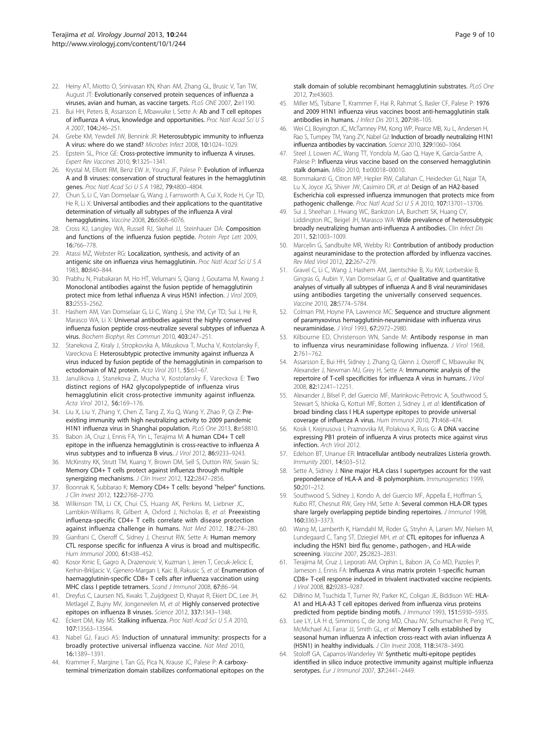- <span id="page-8-0"></span>22. Heiny AT, Miotto O, Srinivasan KN, Khan AM, Zhang GL, Brusic V, Tan TW, August JT: Evolutionarily conserved protein sequences of influenza a viruses, avian and human, as vaccine targets. PLoS ONE 2007, 2:e1190.
- 23. Bui HH, Peters B, Assarsson E, Mbawuike I, Sette A: Ab and T cell epitopes of influenza A virus, knowledge and opportunities. Proc Natl Acad Sci U S A 2007, 104:246–251.
- 24. Grebe KM, Yewdell JW, Bennink JR: Heterosubtypic immunity to influenza A virus: where do we stand? Microbes Infect 2008, 10:1024–1029.
- 25. Epstein SL, Price GE: Cross-protective immunity to influenza A viruses. Expert Rev Vaccines 2010, 9:1325–1341.
- 26. Krystal M, Elliott RM, Benz EW Jr, Young JF, Palese P: Evolution of influenza A and B viruses: conservation of structural features in the hemagglutinin genes. Proc Natl Acad Sci U S A 1982, 79:4800-4804.
- 27. Chun S, Li C, Van Domselaar G, Wang J, Farnsworth A, Cui X, Rode H, Cyr TD, He R, Li X: Universal antibodies and their applications to the quantitative determination of virtually all subtypes of the influenza A viral hemagglutinins. Vaccine 2008, 26:6068-6076.
- 28. Cross KJ, Langley WA, Russell RJ, Skehel JJ, Steinhauer DA: Composition and functions of the influenza fusion peptide. Protein Pept Lett 2009, 16:766–778.
- 29. Atassi MZ, Webster RG: Localization, synthesis, and activity of an antigenic site on influenza virus hemagglutinin. Proc Natl Acad Sci U S A 1983, 80:840–844.
- 30. Prabhu N, Prabakaran M, Ho HT, Velumani S, Qiang J, Goutama M, Kwang J: Monoclonal antibodies against the fusion peptide of hemagglutinin protect mice from lethal influenza A virus H5N1 infection. J Virol 2009, 83:2553–2562.
- 31. Hashem AM, Van Domselaar G, Li C, Wang J, She YM, Cyr TD, Sui J, He R, Marasco WA, Li X: Universal antibodies against the highly conserved influenza fusion peptide cross-neutralize several subtypes of influenza A virus. Biochem Biophys Res Commun 2010, 403:247–251.
- 32. Stanekova Z, Kiraly J, Stropkovska A, Mikuskova T, Mucha V, Kostolansky F, Vareckova E: Heterosubtypic protective immunity against influenza A virus induced by fusion peptide of the hemagglutinin in comparison to ectodomain of M2 protein. Acta Virol 2011, 55:61-67.
- 33. Janulikova J, Stanekova Z, Mucha V, Kostolansky F, Vareckova E: Two distinct regions of HA2 glycopolypeptide of influenza virus hemagglutinin elicit cross-protective immunity against influenza. Acta Virol 2012, 56:169–176.
- 34. Liu X, Liu Y, Zhang Y, Chen Z, Tang Z, Xu Q, Wang Y, Zhao P, Qi Z: Preexisting immunity with high neutralizing activity to 2009 pandemic H1N1 influenza virus in Shanghai population. PLoS One 2013, 8:e58810.
- 35. Babon JA, Cruz J, Ennis FA, Yin L, Terajima M: A human CD4+ T cell epitope in the influenza hemagglutinin is cross-reactive to influenza A virus subtypes and to influenza B virus. J Virol 2012, 86:9233–9243.
- 36. McKinstry KK, Strutt TM, Kuang Y, Brown DM, Sell S, Dutton RW, Swain SL: Memory CD4+ T cells protect against influenza through multiple synergizing mechanisms. J Clin Invest 2012, 122:2847-2856.
- 37. Boonnak K, Subbarao K: Memory CD4+ T cells: beyond "helper" functions. J Clin Invest 2012, 122:2768–2770.
- 38. Wilkinson TM, Li CK, Chui CS, Huang AK, Perkins M, Liebner JC, Lambkin-Williams R, Gilbert A, Oxford J, Nicholas B, et al: Preexisting influenza-specific CD4+ T cells correlate with disease protection against influenza challenge in humans. Nat Med 2012, 18:274–280.
- 39. Gianfrani C, Oseroff C, Sidney J, Chesnut RW, Sette A: Human memory CTL response specific for influenza A virus is broad and multispecific. Hum Immunol 2000, 61:438–452.
- 40. Kosor Krnic E, Gagro A, Drazenovic V, Kuzman I, Jeren T, Cecuk-Jelicic E, Kerhin-Brkljacic V, Gjenero-Margan I, Kaic B, Rakusic S, et al: Enumeration of haemagglutinin-specific CD8+ T cells after influenza vaccination using MHC class I peptide tetramers. Scand J Immunol 2008, 67:86–94.
- 41. Dreyfus C, Laursen NS, Kwaks T, Zuijdgeest D, Khayat R, Ekiert DC, Lee JH, Metlagel Z, Bujny MV, Jongeneelen M, et al: Highly conserved protective epitopes on influenza B viruses. Science 2012, 337:1343–1348.
- 42. Eckert DM, Kay MS: Stalking influenza. Proc Natl Acad Sci U S A 2010, 107:13563–13564.
- 43. Nabel GJ, Fauci AS: Induction of unnatural immunity: prospects for a broadly protective universal influenza vaccine. Nat Med 2010, 16:1389–1391.
- 44. Krammer F, Margine I, Tan GS, Pica N, Krause JC, Palese P: A carboxyterminal trimerization domain stabilizes conformational epitopes on the

stalk domain of soluble recombinant hemagglutinin substrates. PLoS One 2012, 7:e43603.

- 45. Miller MS, Tsibane T, Krammer F, Hai R, Rahmat S, Basler CF, Palese P: 1976 and 2009 H1N1 influenza virus vaccines boost anti-hemagglutinin stalk antibodies in humans. J Infect Dis 2013, 207:98–105.
- 46. Wei CJ, Boyington JC, McTamney PM, Kong WP, Pearce MB, Xu L, Andersen H, Rao S, Tumpey TM, Yang ZY, Nabel GJ: Induction of broadly neutralizing H1N1 influenza antibodies by vaccination. Science 2010, 329:1060–1064.
- 47. Steel J, Lowen AC, Wang TT, Yondola M, Gao Q, Haye K, Garcia-Sastre A, Palese P: Influenza virus vaccine based on the conserved hemagglutinin stalk domain. MBio 2010, 1:e00018–00010.
- 48. Bommakanti G, Citron MP, Hepler RW, Callahan C, Heidecker GJ, Najar TA, Lu X, Joyce JG, Shiver JW, Casimiro DR, et al: Design of an HA2-based Escherichia coli expressed influenza immunogen that protects mice from pathogenic challenge. Proc Natl Acad Sci U S A 2010, 107:13701–13706.
- Sui J, Sheehan J, Hwang WC, Bankston LA, Burchett SK, Huang CY, Liddington RC, Beigel JH, Marasco WA: Wide prevalence of heterosubtypic broadly neutralizing human anti-influenza A antibodies. Clin Infect Dis 2011, 52:1003–1009.
- 50. Marcelin G, Sandbulte MR, Webby RJ: Contribution of antibody production against neuraminidase to the protection afforded by influenza vaccines. Rev Med Virol 2012, 22:267–279.
- 51. Gravel C, Li C, Wang J, Hashem AM, Jaentschke B, Xu KW, Lorbetskie B, Gingras G, Aubin Y, Van Domselaar G, et al: Qualitative and quantitative analyses of virtually all subtypes of influenza A and B viral neuraminidases using antibodies targeting the universally conserved sequences. Vaccine 2010, 28:5774–5784.
- 52. Colman PM, Hoyne PA, Lawrence MC: Sequence and structure alignment of paramyxovirus hemagglutinin-neuraminidase with influenza virus neuraminidase. J Virol 1993, 67:2972–2980.
- 53. Kilbourne ED, Christenson WN, Sande M: Antibody response in man to influenza virus neuraminidase following influenza. J Virol 1968, 2:761–762.
- 54. Assarsson E, Bui HH, Sidney J, Zhang Q, Glenn J, Oseroff C, Mbawuike IN, Alexander J, Newman MJ, Grey H, Sette A: Immunomic analysis of the repertoire of T-cell specificities for influenza A virus in humans. J Virol 2008, 82:12241–12251.
- 55. Alexander J, Bilsel P, del Guercio MF, Marinkovic-Petrovic A, Southwood S, Stewart S, Ishioka G, Kotturi MF, Botten J, Sidney J, et al: **Identification of** broad binding class I HLA supertype epitopes to provide universal coverage of influenza A virus. Hum Immunol 2010, 71:468–474.
- 56. Kosik I, Krejnusova I, Praznovska M, Polakova K, Russ G: A DNA vaccine expressing PB1 protein of influenza A virus protects mice against virus infection. Arch Virol 2012.
- 57. Edelson BT, Unanue ER: Intracellular antibody neutralizes Listeria growth. Immunity 2001, 14:503–512.
- 58. Sette A, Sidney J: Nine major HLA class I supertypes account for the vast preponderance of HLA-A and -B polymorphism. Immunogenetics 1999, 50:201–212.
- 59. Southwood S, Sidney J, Kondo A, del Guercio MF, Appella E, Hoffman S, Kubo RT, Chesnut RW, Grey HM, Sette A: Several common HLA-DR types share largely overlapping peptide binding repertoires. J Immunol 1998, 160:3363–3373.
- 60. Wang M, Lamberth K, Harndahl M, Roder G, Stryhn A, Larsen MV, Nielsen M, Lundegaard C, Tang ST, Dziegiel MH, et al: CTL epitopes for influenza A including the H5N1 bird flu; genome-, pathogen-, and HLA-wide screening. Vaccine 2007, 25:2823–2831.
- 61. Terajima M, Cruz J, Leporati AM, Orphin L, Babon JA, Co MD, Pazoles P, Jameson J, Ennis FA: Influenza A virus matrix protein 1-specific human CD8+ T-cell response induced in trivalent inactivated vaccine recipients. J Virol 2008, 82:9283–9287.
- 62. DiBrino M, Tsuchida T, Turner RV, Parker KC, Coligan JE, Biddison WE: HLA-A1 and HLA-A3 T cell epitopes derived from influenza virus proteins predicted from peptide binding motifs. J Immunol 1993, 151:5930-5935.
- 63. Lee LY, LA H d, Simmons C, de Jong MD, Chau NV, Schumacher R, Peng YC, McMichael AJ, Farrar JJ, Smith GL, et al: Memory T cells established by seasonal human influenza A infection cross-react with avian influenza A (H5N1) in healthy individuals. J Clin Invest 2008, 118:3478–3490.
- 64. Stoloff GA, Caparros-Wanderley W: Synthetic multi-epitope peptides identified in silico induce protective immunity against multiple influenza serotypes. Eur J Immunol 2007, 37:2441-2449.